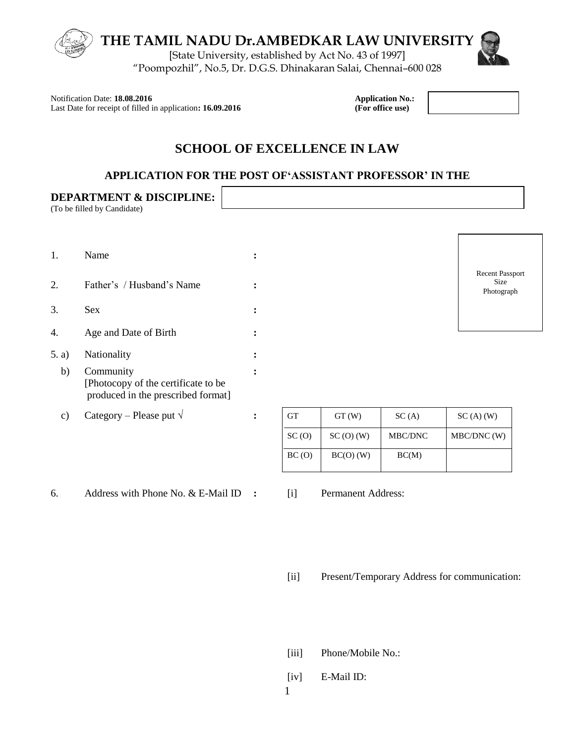

Notification Date: **18.08.2016 Application No.:**<br>
Last Date for receipt of filled in application: **16.09.2016 Application Mo.:** (For office use) Last Date for receipt of filled in application: **16.09.2016** 

# **SCHOOL OF EXCELLENCE IN LAW**

#### **APPLICATION FOR THE POST OF'ASSISTANT PROFESSOR' IN THE**

Г

|               | <b>DEPARTMENT &amp; DISCIPLINE:</b><br>(To be filled by Candidate)                     |                |           |             |                                         |                                              |
|---------------|----------------------------------------------------------------------------------------|----------------|-----------|-------------|-----------------------------------------|----------------------------------------------|
| 1.            | Name                                                                                   | $\bullet$      |           |             |                                         |                                              |
| 2.            | Father's / Husband's Name                                                              |                |           |             |                                         | <b>Recent Passport</b><br>Size<br>Photograph |
| 3.            | Sex                                                                                    |                |           |             |                                         |                                              |
| 4.            | Age and Date of Birth                                                                  | $\bullet$      |           |             |                                         |                                              |
| 5. a)         | Nationality                                                                            |                |           |             |                                         |                                              |
| b)            | Community<br>[Photocopy of the certificate to be<br>produced in the prescribed format] | $\bullet$      |           |             |                                         |                                              |
| $\mathbf{c})$ | Category – Please put $\sqrt{}$                                                        | $\ddot{\cdot}$ | <b>GT</b> | GT(W)       | SC(A)                                   | $SC(A)$ (W)                                  |
|               |                                                                                        |                | SC(0)     | SC(0) (W)   | $\operatorname{MBC}/\operatorname{DNC}$ | MBC/DNC (W)                                  |
|               |                                                                                        |                | BC(0)     | $BC(O)$ (W) | BC(M)                                   |                                              |

6. Address with Phone No. & E-Mail ID **:** [i] Permanent Address:

[ii] Present/Temporary Address for communication:

- [iii] Phone/Mobile No.:
- [iv] E-Mail ID: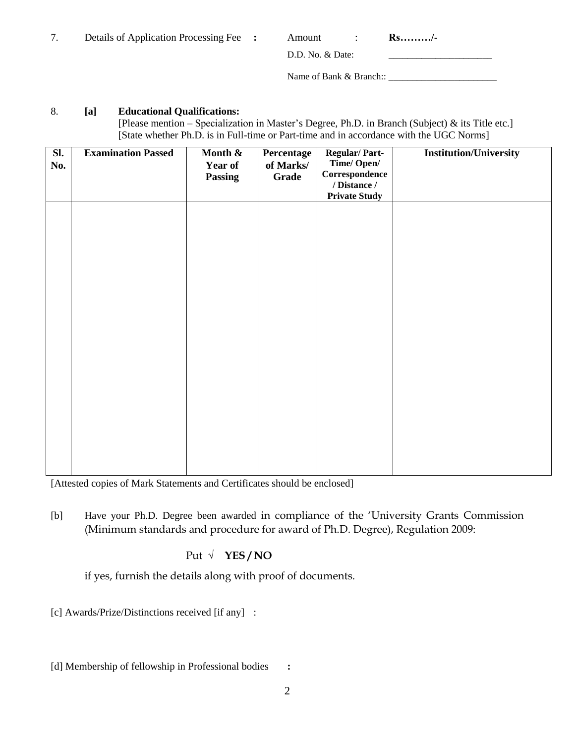|  | Details of Application Processing Fee : |  | Amount |  | $Rs.\dots\dots/$ - |
|--|-----------------------------------------|--|--------|--|--------------------|
|--|-----------------------------------------|--|--------|--|--------------------|

D.D. No. & Date:

Name of Bank & Branch:: \_\_\_\_\_\_\_\_\_\_\_\_\_\_\_\_\_\_\_\_\_\_\_

#### 8. **[a] Educational Qualifications:**

 [Please mention – Specialization in Master's Degree, Ph.D. in Branch (Subject) & its Title etc.] [State whether Ph.D. is in Full-time or Part-time and in accordance with the UGC Norms]

| Sl.<br>No. | <b>Examination Passed</b> | Month &<br>Year of<br><b>Passing</b> | Percentage<br>of Marks/<br>Grade | <b>Regular/Part-</b><br>Time/Open/<br>Correspondence<br>/ Distance / | <b>Institution/University</b> |
|------------|---------------------------|--------------------------------------|----------------------------------|----------------------------------------------------------------------|-------------------------------|
|            |                           |                                      |                                  | <b>Private Study</b>                                                 |                               |
|            |                           |                                      |                                  |                                                                      |                               |
|            |                           |                                      |                                  |                                                                      |                               |
|            |                           |                                      |                                  |                                                                      |                               |
|            |                           |                                      |                                  |                                                                      |                               |
|            |                           |                                      |                                  |                                                                      |                               |

[Attested copies of Mark Statements and Certificates should be enclosed]

[b] Have your Ph.D. Degree been awarded in compliance of the "University Grants Commission (Minimum standards and procedure for award of Ph.D. Degree), Regulation 2009:

Put **√ YES / NO**

if yes, furnish the details along with proof of documents.

[c] Awards/Prize/Distinctions received [if any] :

[d] Membership of fellowship in Professional bodies **:**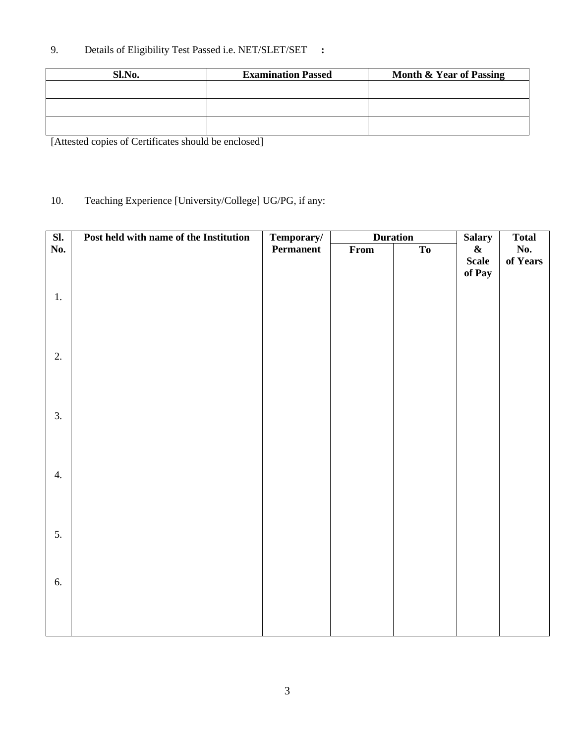# 9. Details of Eligibility Test Passed i.e. NET/SLET/SET **:**

| Sl.No. | <b>Examination Passed</b> | Month & Year of Passing |
|--------|---------------------------|-------------------------|
|        |                           |                         |
|        |                           |                         |
|        |                           |                         |

[Attested copies of Certificates should be enclosed]

# 10. Teaching Experience [University/College] UG/PG, if any:

| SI. | Post held with name of the Institution | Temporary/ |      | <b>Duration</b> | <b>Salary</b> | <b>Total</b> |
|-----|----------------------------------------|------------|------|-----------------|---------------|--------------|
| No. |                                        | Permanent  | From | To              | $\pmb{\&}$    | No.          |
|     |                                        |            |      |                 | <b>Scale</b>  | of Years     |
|     |                                        |            |      |                 | of Pay        |              |
|     |                                        |            |      |                 |               |              |
| 1.  |                                        |            |      |                 |               |              |
|     |                                        |            |      |                 |               |              |
|     |                                        |            |      |                 |               |              |
|     |                                        |            |      |                 |               |              |
| 2.  |                                        |            |      |                 |               |              |
|     |                                        |            |      |                 |               |              |
|     |                                        |            |      |                 |               |              |
|     |                                        |            |      |                 |               |              |
| 3.  |                                        |            |      |                 |               |              |
|     |                                        |            |      |                 |               |              |
|     |                                        |            |      |                 |               |              |
|     |                                        |            |      |                 |               |              |
| 4.  |                                        |            |      |                 |               |              |
|     |                                        |            |      |                 |               |              |
|     |                                        |            |      |                 |               |              |
|     |                                        |            |      |                 |               |              |
|     |                                        |            |      |                 |               |              |
| 5.  |                                        |            |      |                 |               |              |
|     |                                        |            |      |                 |               |              |
|     |                                        |            |      |                 |               |              |
| 6.  |                                        |            |      |                 |               |              |
|     |                                        |            |      |                 |               |              |
|     |                                        |            |      |                 |               |              |
|     |                                        |            |      |                 |               |              |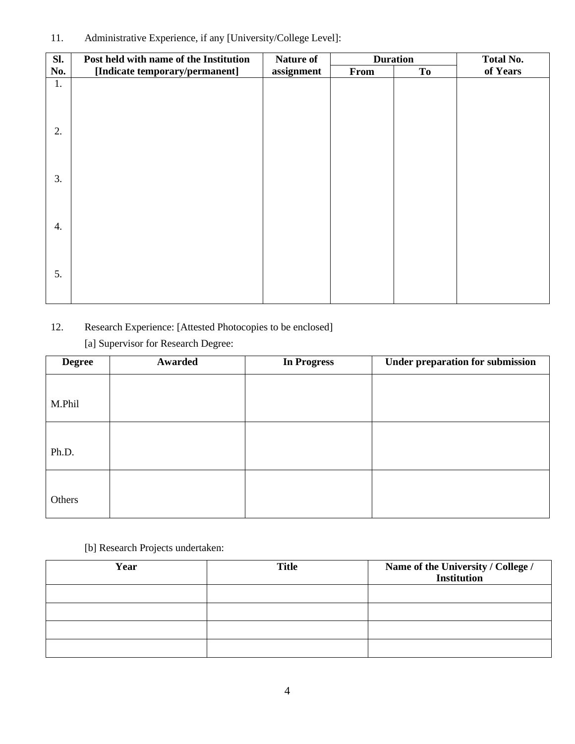# 11. Administrative Experience, if any [University/College Level]:

| Sl. | Post held with name of the Institution | <b>Nature of</b> |      | <b>Duration</b> | <b>Total No.</b> |
|-----|----------------------------------------|------------------|------|-----------------|------------------|
| No. | [Indicate temporary/permanent]         | assignment       | From | <b>To</b>       | of Years         |
| 1.  |                                        |                  |      |                 |                  |
|     |                                        |                  |      |                 |                  |
|     |                                        |                  |      |                 |                  |
|     |                                        |                  |      |                 |                  |
| 2.  |                                        |                  |      |                 |                  |
|     |                                        |                  |      |                 |                  |
|     |                                        |                  |      |                 |                  |
| 3.  |                                        |                  |      |                 |                  |
|     |                                        |                  |      |                 |                  |
|     |                                        |                  |      |                 |                  |
|     |                                        |                  |      |                 |                  |
| 4.  |                                        |                  |      |                 |                  |
|     |                                        |                  |      |                 |                  |
|     |                                        |                  |      |                 |                  |
| 5.  |                                        |                  |      |                 |                  |
|     |                                        |                  |      |                 |                  |
|     |                                        |                  |      |                 |                  |

# 12. Research Experience: [Attested Photocopies to be enclosed]

[a] Supervisor for Research Degree:

| <b>Degree</b> | Awarded | <b>In Progress</b> | <b>Under preparation for submission</b> |
|---------------|---------|--------------------|-----------------------------------------|
|               |         |                    |                                         |
| M.Phil        |         |                    |                                         |
|               |         |                    |                                         |
| Ph.D.         |         |                    |                                         |
| Others        |         |                    |                                         |

[b] Research Projects undertaken:

| Year | <b>Title</b> | Name of the University / College /<br><b>Institution</b> |
|------|--------------|----------------------------------------------------------|
|      |              |                                                          |
|      |              |                                                          |
|      |              |                                                          |
|      |              |                                                          |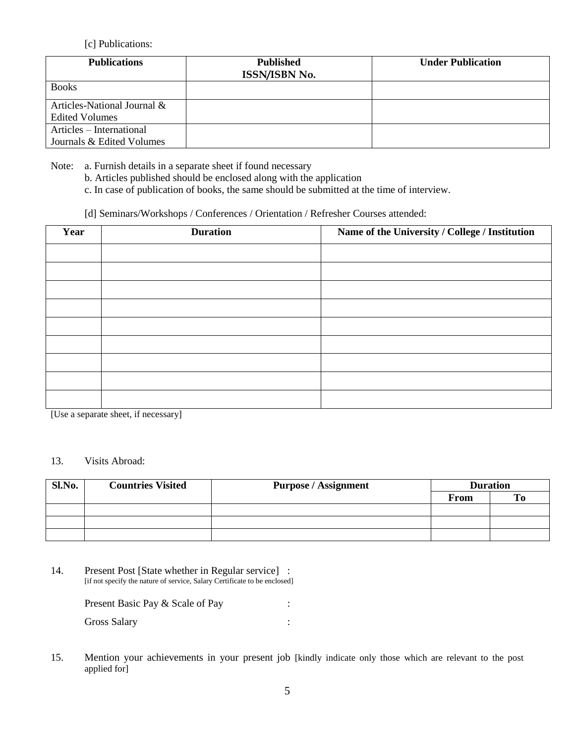#### [c] Publications:

| <b>Publications</b>         | <b>Published</b><br><b>ISSN/ISBN No.</b> | <b>Under Publication</b> |
|-----------------------------|------------------------------------------|--------------------------|
| <b>Books</b>                |                                          |                          |
| Articles-National Journal & |                                          |                          |
| Edited Volumes              |                                          |                          |
| Articles – International    |                                          |                          |
| Journals & Edited Volumes   |                                          |                          |

Note: a. Furnish details in a separate sheet if found necessary

- b. Articles published should be enclosed along with the application
- c. In case of publication of books, the same should be submitted at the time of interview.
- [d] Seminars/Workshops / Conferences / Orientation / Refresher Courses attended:

| Year | <b>Duration</b> | Name of the University / College / Institution |
|------|-----------------|------------------------------------------------|
|      |                 |                                                |
|      |                 |                                                |
|      |                 |                                                |
|      |                 |                                                |
|      |                 |                                                |
|      |                 |                                                |
|      |                 |                                                |
|      |                 |                                                |
|      |                 |                                                |

[Use a separate sheet, if necessary]

#### 13. Visits Abroad:

| Sl.No. | <b>Countries Visited</b> | <b>Purpose / Assignment</b> | <b>Duration</b> |                |
|--------|--------------------------|-----------------------------|-----------------|----------------|
|        |                          |                             | <b>From</b>     | T <sub>0</sub> |
|        |                          |                             |                 |                |
|        |                          |                             |                 |                |
|        |                          |                             |                 |                |

14. Present Post [State whether in Regular service] : [if not specify the nature of service, Salary Certificate to be enclosed]

> Present Basic Pay & Scale of Pay : Gross Salary in the set of the set of the set of the set of the set of the set of the set of the set of the set of the set of the set of the set of the set of the set of the set of the set of the set of the set of the set

15. Mention your achievements in your present job [kindly indicate only those which are relevant to the post applied for]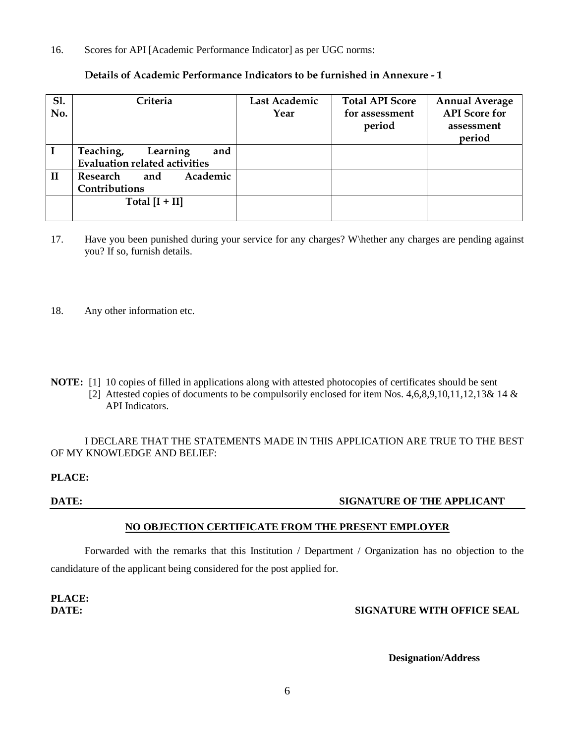16. Scores for API [Academic Performance Indicator] as per UGC norms:

| S1.<br>No.   | Criteria                                                             | Last Academic<br>Year | <b>Total API Score</b><br>for assessment<br>period | <b>Annual Average</b><br><b>API</b> Score for<br>assessment<br>period |
|--------------|----------------------------------------------------------------------|-----------------------|----------------------------------------------------|-----------------------------------------------------------------------|
|              | Teaching,<br>and<br>Learning<br><b>Evaluation related activities</b> |                       |                                                    |                                                                       |
| $\mathbf{I}$ | Academic<br>Research<br>and<br>Contributions                         |                       |                                                    |                                                                       |
|              | Total $[I + II]$                                                     |                       |                                                    |                                                                       |

#### **Details of Academic Performance Indicators to be furnished in Annexure - 1**

- 17. Have you been punished during your service for any charges? W\hether any charges are pending against you? If so, furnish details.
- 18. Any other information etc.
- **NOTE:** [1] 10 copies of filled in applications along with attested photocopies of certificates should be sent
	- [2] Attested copies of documents to be compulsorily enclosed for item Nos. 4,6,8,9,10,11,12,13& 14 & API Indicators.

I DECLARE THAT THE STATEMENTS MADE IN THIS APPLICATION ARE TRUE TO THE BEST OF MY KNOWLEDGE AND BELIEF:

**PLACE:**

#### **DATE:** SIGNATURE OF THE APPLICANT

#### **NO OBJECTION CERTIFICATE FROM THE PRESENT EMPLOYER**

Forwarded with the remarks that this Institution / Department / Organization has no objection to the candidature of the applicant being considered for the post applied for.

**PLACE:**

#### **DATE: SIGNATURE WITH OFFICE SEAL**

 **Designation/Address**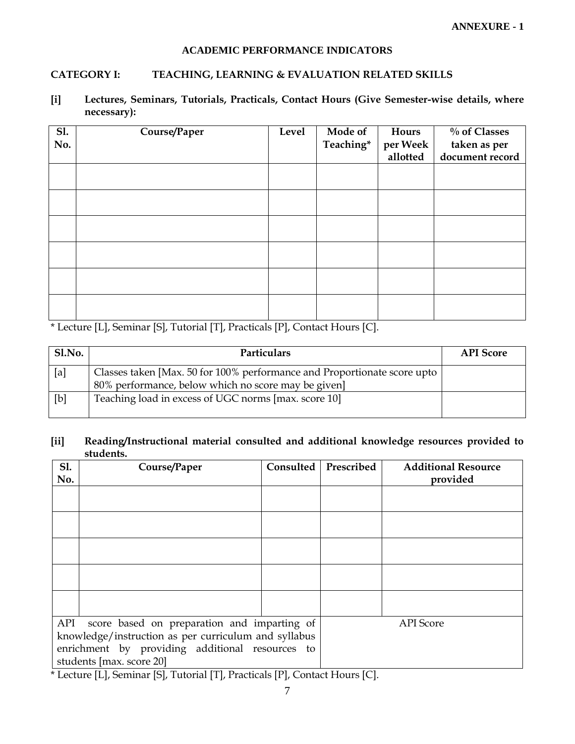#### **ACADEMIC PERFORMANCE INDICATORS**

#### **CATEGORY I: TEACHING, LEARNING & EVALUATION RELATED SKILLS**

**[i] Lectures, Seminars, Tutorials, Practicals, Contact Hours (Give Semester-wise details, where necessary):**

| <b>Sl.</b> | Course/Paper | <b>Level</b> | Mode of   | Hours    | % of Classes    |
|------------|--------------|--------------|-----------|----------|-----------------|
| No.        |              |              | Teaching* | per Week | taken as per    |
|            |              |              |           | allotted | document record |
|            |              |              |           |          |                 |
|            |              |              |           |          |                 |
|            |              |              |           |          |                 |
|            |              |              |           |          |                 |
|            |              |              |           |          |                 |
|            |              |              |           |          |                 |
|            |              |              |           |          |                 |
|            |              |              |           |          |                 |
|            |              |              |           |          |                 |
|            |              |              |           |          |                 |
|            |              |              |           |          |                 |
|            |              |              |           |          |                 |

\* Lecture [L], Seminar [S], Tutorial [T], Practicals [P], Contact Hours [C].

| Sl.No. | Particulars                                                                                                                     | <b>API</b> Score |
|--------|---------------------------------------------------------------------------------------------------------------------------------|------------------|
| [a]    | Classes taken [Max. 50 for 100% performance and Proportionate score upto<br>80% performance, below which no score may be given] |                  |
| [b]    | Teaching load in excess of UGC norms [max. score 10]                                                                            |                  |

#### **[ii] Reading/Instructional material consulted and additional knowledge resources provided to students.**

| S1.<br>No. | Course/Paper                                                                                                                                                                                                                                                                           | Consulted | Prescribed | <b>Additional Resource</b><br>provided |
|------------|----------------------------------------------------------------------------------------------------------------------------------------------------------------------------------------------------------------------------------------------------------------------------------------|-----------|------------|----------------------------------------|
|            |                                                                                                                                                                                                                                                                                        |           |            |                                        |
|            |                                                                                                                                                                                                                                                                                        |           |            |                                        |
|            |                                                                                                                                                                                                                                                                                        |           |            |                                        |
|            |                                                                                                                                                                                                                                                                                        |           |            |                                        |
|            |                                                                                                                                                                                                                                                                                        |           |            |                                        |
|            | API score based on preparation and imparting of                                                                                                                                                                                                                                        |           |            | <b>API</b> Score                       |
|            | knowledge/instruction as per curriculum and syllabus                                                                                                                                                                                                                                   |           |            |                                        |
|            | enrichment by providing additional resources to                                                                                                                                                                                                                                        |           |            |                                        |
|            | students [max. score 20]<br>$\mathbf{F} \cdot \mathbf{I} \cdot \mathbf{G}$ and $\mathbf{F} \cdot \mathbf{G}$ and $\mathbf{F} \cdot \mathbf{G}$ and $\mathbf{F} \cdot \mathbf{G}$ and $\mathbf{F} \cdot \mathbf{G}$ and $\mathbf{F} \cdot \mathbf{G}$ and $\mathbf{F} \cdot \mathbf{G}$ |           | $F \sim 1$ |                                        |

\* Lecture [L], Seminar [S], Tutorial [T], Practicals [P], Contact Hours [C].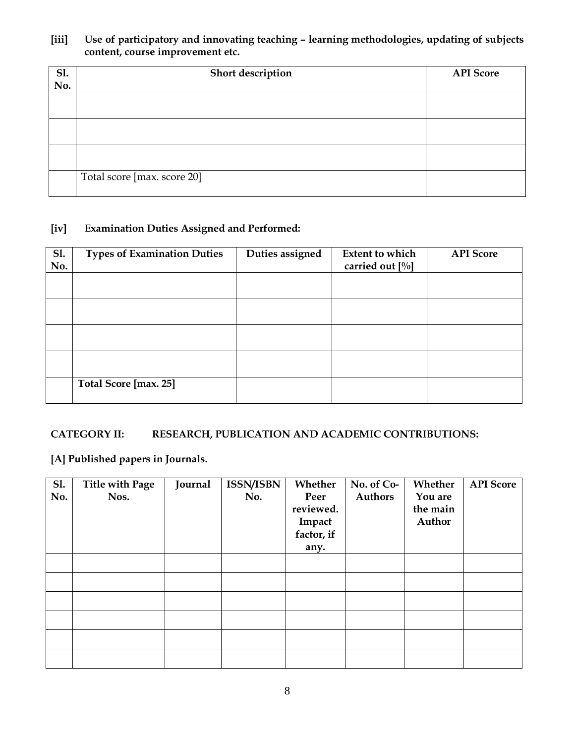#### **[iii] Use of participatory and innovating teaching – learning methodologies, updating of subjects content, course improvement etc.**

| <b>S1.</b> | Short description           | <b>API</b> Score |
|------------|-----------------------------|------------------|
| No.        |                             |                  |
|            |                             |                  |
|            |                             |                  |
|            |                             |                  |
|            |                             |                  |
|            |                             |                  |
|            |                             |                  |
|            | Total score [max. score 20] |                  |
|            |                             |                  |

### **[iv] Examination Duties Assigned and Performed:**

| <b>Sl.</b><br>No. | <b>Types of Examination Duties</b> | Duties assigned | <b>Extent to which</b><br>carried out [%] | <b>API Score</b> |
|-------------------|------------------------------------|-----------------|-------------------------------------------|------------------|
|                   |                                    |                 |                                           |                  |
|                   |                                    |                 |                                           |                  |
|                   |                                    |                 |                                           |                  |
|                   |                                    |                 |                                           |                  |
|                   | Total Score [max. 25]              |                 |                                           |                  |

## **CATEGORY II: RESEARCH, PUBLICATION AND ACADEMIC CONTRIBUTIONS:**

# **[A] Published papers in Journals.**

| <b>Sl.</b> | <b>Title with Page</b> | Journal | <b>ISSN/ISBN</b> | Whether    | No. of Co-     | Whether  | <b>API</b> Score |
|------------|------------------------|---------|------------------|------------|----------------|----------|------------------|
| No.        | Nos.                   |         | No.              | Peer       | <b>Authors</b> | You are  |                  |
|            |                        |         |                  | reviewed.  |                | the main |                  |
|            |                        |         |                  | Impact     |                | Author   |                  |
|            |                        |         |                  | factor, if |                |          |                  |
|            |                        |         |                  | any.       |                |          |                  |
|            |                        |         |                  |            |                |          |                  |
|            |                        |         |                  |            |                |          |                  |
|            |                        |         |                  |            |                |          |                  |
|            |                        |         |                  |            |                |          |                  |
|            |                        |         |                  |            |                |          |                  |
|            |                        |         |                  |            |                |          |                  |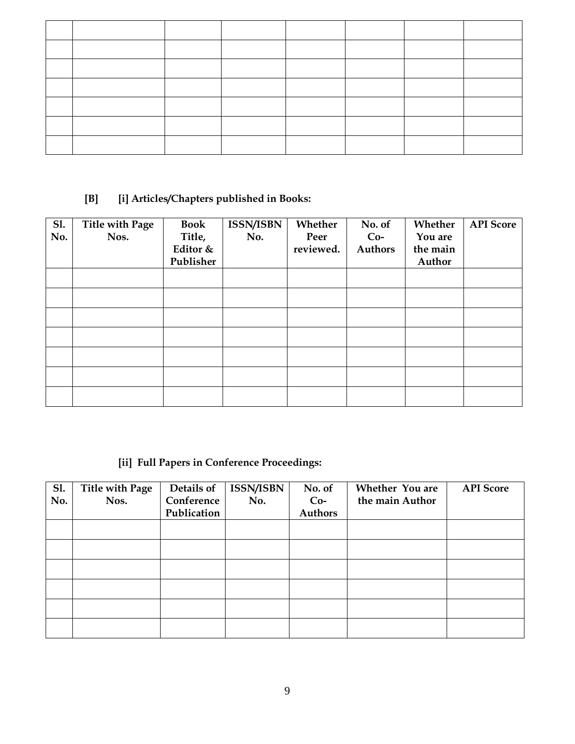# **[B] [i] Articles/Chapters published in Books:**

| <b>Sl.</b><br>No. | <b>Title with Page</b><br>Nos. | <b>Book</b><br>Title,<br>Editor &<br>Publisher | <b>ISSN/ISBN</b><br>No. | Whether<br>Peer<br>reviewed. | No. of<br>$Co-$<br><b>Authors</b> | Whether<br>You are<br>the main<br>Author | <b>API</b> Score |
|-------------------|--------------------------------|------------------------------------------------|-------------------------|------------------------------|-----------------------------------|------------------------------------------|------------------|
|                   |                                |                                                |                         |                              |                                   |                                          |                  |
|                   |                                |                                                |                         |                              |                                   |                                          |                  |
|                   |                                |                                                |                         |                              |                                   |                                          |                  |
|                   |                                |                                                |                         |                              |                                   |                                          |                  |
|                   |                                |                                                |                         |                              |                                   |                                          |                  |
|                   |                                |                                                |                         |                              |                                   |                                          |                  |
|                   |                                |                                                |                         |                              |                                   |                                          |                  |

# **[ii] Full Papers in Conference Proceedings:**

| <b>Sl.</b> | Title with Page | Details of  | ISSN/ISBN | No. of  | Whether You are | <b>API</b> Score |
|------------|-----------------|-------------|-----------|---------|-----------------|------------------|
| No.        | Nos.            | Conference  | No.       | $Co-$   | the main Author |                  |
|            |                 | Publication |           | Authors |                 |                  |
|            |                 |             |           |         |                 |                  |
|            |                 |             |           |         |                 |                  |
|            |                 |             |           |         |                 |                  |
|            |                 |             |           |         |                 |                  |
|            |                 |             |           |         |                 |                  |
|            |                 |             |           |         |                 |                  |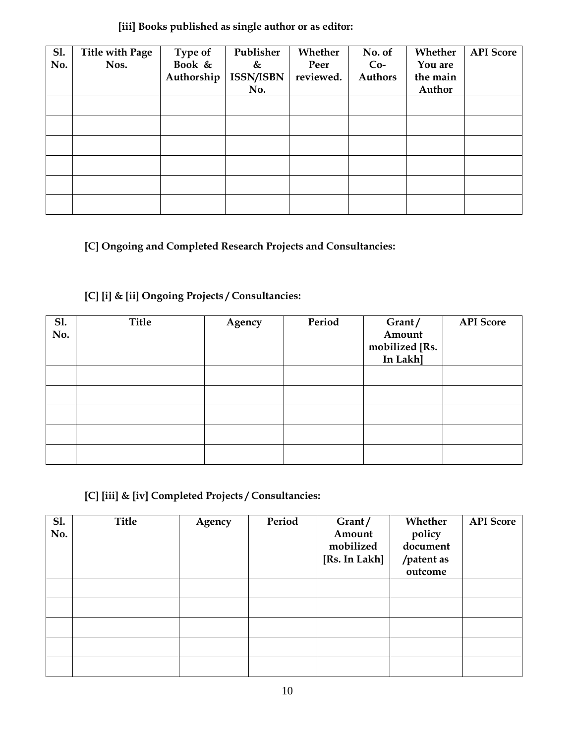### **[iii] Books published as single author or as editor:**

| <b>Sl.</b><br>No. | Title with Page<br>Nos. | Type of<br>Book &<br>Authorship | Publisher<br>&<br>ISSN/ISBN<br>No. | Whether<br>Peer<br>reviewed. | No. of<br>$Co-$<br><b>Authors</b> | Whether<br>You are<br>the main<br>Author | <b>API</b> Score |
|-------------------|-------------------------|---------------------------------|------------------------------------|------------------------------|-----------------------------------|------------------------------------------|------------------|
|                   |                         |                                 |                                    |                              |                                   |                                          |                  |
|                   |                         |                                 |                                    |                              |                                   |                                          |                  |
|                   |                         |                                 |                                    |                              |                                   |                                          |                  |
|                   |                         |                                 |                                    |                              |                                   |                                          |                  |
|                   |                         |                                 |                                    |                              |                                   |                                          |                  |
|                   |                         |                                 |                                    |                              |                                   |                                          |                  |

**[C] Ongoing and Completed Research Projects and Consultancies:**

# **[C] [i] & [ii] Ongoing Projects / Consultancies:**

| <b>S1.</b><br>No. | <b>Title</b> | Agency | Period | Grant/<br>Amount<br>mobilized [Rs.<br>In Lakh] | <b>API</b> Score |
|-------------------|--------------|--------|--------|------------------------------------------------|------------------|
|                   |              |        |        |                                                |                  |
|                   |              |        |        |                                                |                  |
|                   |              |        |        |                                                |                  |
|                   |              |        |        |                                                |                  |
|                   |              |        |        |                                                |                  |

 **[C] [iii] & [iv] Completed Projects / Consultancies:**

| <b>Sl.</b><br>No. | <b>Title</b> | Agency | Period | Grant/<br>Amount<br>mobilized<br>[Rs. In Lakh] | Whether<br>policy<br>document<br>/patent as<br>outcome | <b>API</b> Score |
|-------------------|--------------|--------|--------|------------------------------------------------|--------------------------------------------------------|------------------|
|                   |              |        |        |                                                |                                                        |                  |
|                   |              |        |        |                                                |                                                        |                  |
|                   |              |        |        |                                                |                                                        |                  |
|                   |              |        |        |                                                |                                                        |                  |
|                   |              |        |        |                                                |                                                        |                  |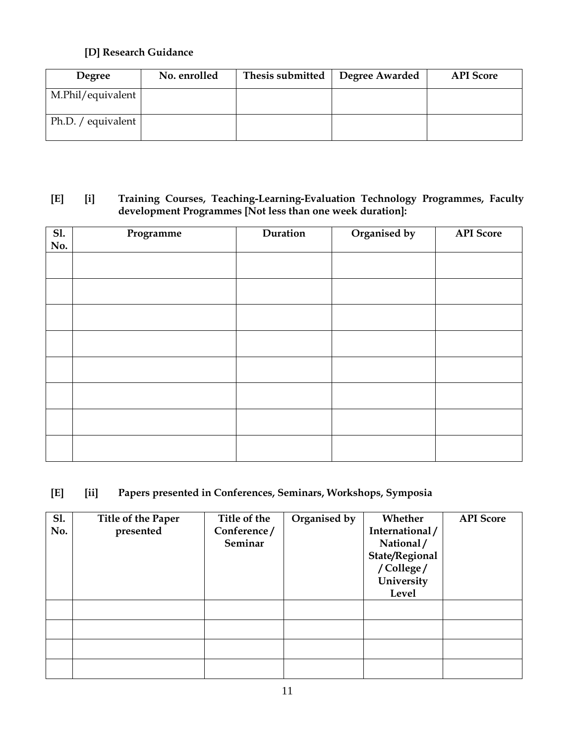## **[D] Research Guidance**

| <b>Degree</b>              | No. enrolled | Thesis submitted | Degree Awarded | <b>API</b> Score |
|----------------------------|--------------|------------------|----------------|------------------|
| M.Phil/equivalent          |              |                  |                |                  |
| Ph.D. / equivalent $\vert$ |              |                  |                |                  |

### **[E] [i] Training Courses, Teaching-Learning-Evaluation Technology Programmes, Faculty development Programmes [Not less than one week duration]:**

| Sl.<br>No. | Programme | Duration | Organised by | <b>API</b> Score |
|------------|-----------|----------|--------------|------------------|
|            |           |          |              |                  |
|            |           |          |              |                  |
|            |           |          |              |                  |
|            |           |          |              |                  |
|            |           |          |              |                  |
|            |           |          |              |                  |
|            |           |          |              |                  |
|            |           |          |              |                  |

# **[E] [ii] Papers presented in Conferences, Seminars, Workshops, Symposia**

| <b>Sl.</b> | Title of the Paper | Title of the | Organised by | Whether        | <b>API</b> Score |
|------------|--------------------|--------------|--------------|----------------|------------------|
| No.        | presented          | Conference/  |              | International/ |                  |
|            |                    | Seminar      |              | National/      |                  |
|            |                    |              |              | State/Regional |                  |
|            |                    |              |              | /College/      |                  |
|            |                    |              |              | University     |                  |
|            |                    |              |              | <b>Level</b>   |                  |
|            |                    |              |              |                |                  |
|            |                    |              |              |                |                  |
|            |                    |              |              |                |                  |
|            |                    |              |              |                |                  |